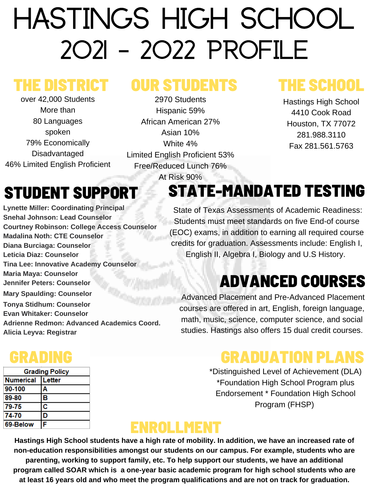# HASTINGS HIGH SCHOOL 2021 - 2022 Profile

**Lynette Miller: Coordinating Principal Snehal Johnson: Lead Counselor Courtney Robinson: College Access Counselor Madalina Noth: CTE Counselor Diana Burciaga: Counselor Leticia Diaz: Counselor Tina Lee: Innovative Academy Counselor Maria Maya: Counselor Jennifer Peters: Counselor Mary Spaulding: Counselor Tonya Stidhum: Counselor Evan Whitaker: Counselor Adrienne Redmon: Advanced Academics Coord. Alicia Leyva: Registrar**

# STUDENT SUPPORT

# THE DISTRICT

over 42,000 Students More than 80 Languages spoken 79% Economically Disadvantaged 46% Limited English Proficient

# OUR STUDENTS

2970 Students Hispanic 59% African American 27% Asian 10% White 4% Limited English Proficient 53% Free/Reduced Lunch 76%

At Risk 90%

# THE SCHOOL

Hastings High School 4410 Cook Road Houston, TX 77072 281.988.3110 Fax 281.561.5763

# GRADUATION PLANS

\*Distinguished Level of Achievement (DLA) \*Foundation High School Program plus Endorsement \* Foundation High School Program (FHSP)

Hastings High School students have a high rate of mobility. In addition, we have an increased rate of **non-education responsibilities amongst our students on our campus. For example, students who are parenting, working to support family, etc. To help support our students, we have an additional program called SOAR which is a one-year basic academic program for high school students who are at least 16 years old and who meet the program qualifications and are not on track for graduation.**

# STATE-MANDATED TESTING

State of Texas Assessments of Academic Readiness: Students must meet standards on five End-of course (EOC) exams, in addition to earning all required course credits for graduation. Assessments include: English I, English II, Algebra I, Biology and U.S History.

# GRADING

| <b>Grading Policy</b> |        |  |  |
|-----------------------|--------|--|--|
| <b>Numerical</b>      | Letter |  |  |
| 90-100                | Α      |  |  |
| 89-80                 | В      |  |  |
| 79-75                 | C      |  |  |
| 74-70                 | D      |  |  |
| 69-Below              | F      |  |  |

# ADVANCED COURSES

Advanced Placement and Pre-Advanced Placement courses are offered in art, English, foreign language, math, music, science, computer science, and social studies. Hastings also offers 15 dual credit courses.

### ENROLLMENT